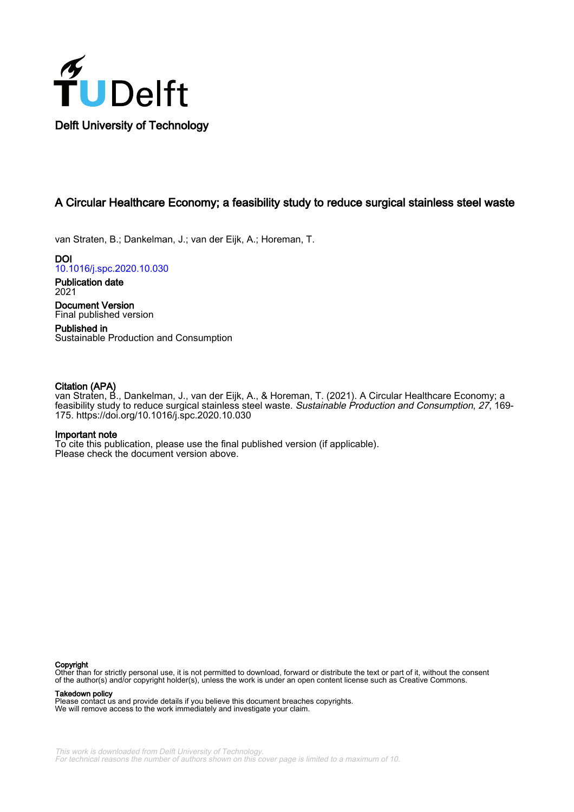

## A Circular Healthcare Economy; a feasibility study to reduce surgical stainless steel waste

van Straten, B.; Dankelman, J.; van der Eijk, A.; Horeman, T.

DOI [10.1016/j.spc.2020.10.030](https://doi.org/10.1016/j.spc.2020.10.030)

Publication date 2021 Document Version

Final published version Published in Sustainable Production and Consumption

## Citation (APA)

van Straten, B., Dankelman, J., van der Eijk, A., & Horeman, T. (2021). A Circular Healthcare Economy; a feasibility study to reduce surgical stainless steel waste. Sustainable Production and Consumption, 27, 169-175.<https://doi.org/10.1016/j.spc.2020.10.030>

### Important note

To cite this publication, please use the final published version (if applicable). Please check the document version above.

#### Copyright

Other than for strictly personal use, it is not permitted to download, forward or distribute the text or part of it, without the consent of the author(s) and/or copyright holder(s), unless the work is under an open content license such as Creative Commons.

Takedown policy

Please contact us and provide details if you believe this document breaches copyrights. We will remove access to the work immediately and investigate your claim.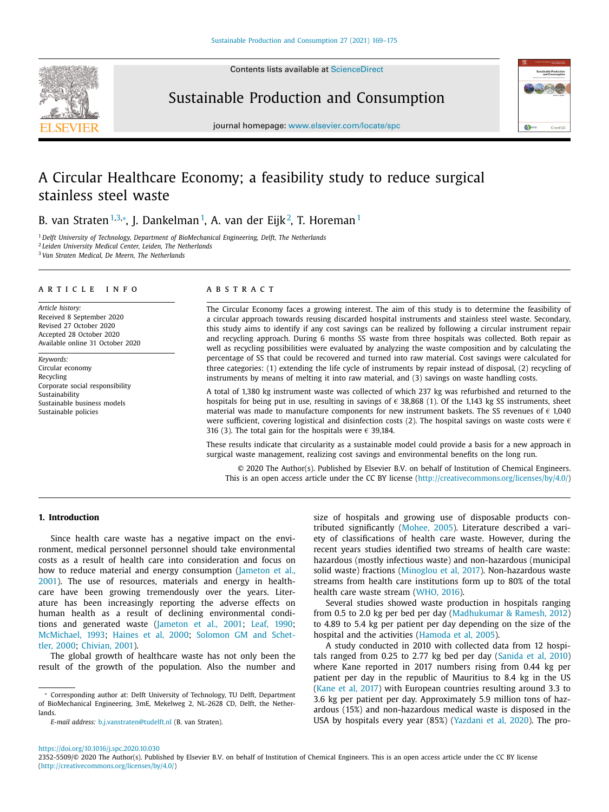Contents lists available at [ScienceDirect](http://www.ScienceDirect.com)



Sustainable Production and Consumption



journal homepage: [www.elsevier.com/locate/spc](http://www.elsevier.com/locate/spc)

# A Circular Healthcare Economy; a feasibility study to reduce surgical stainless steel waste

B. van Straten™<sup>3,</sup>\*, J. Dankelman™, A. van der Eijk<sup>2</sup>, T. Horeman™

<sup>1</sup> *Delft University of Technology, Department of BioMechanical Engineering, Delft, The Netherlands* <sup>2</sup> *Leiden University Medical Center, Leiden, The Netherlands* <sup>3</sup> *Van Straten Medical, De Meern, The Netherlands*

#### a r t i c l e i n f o

*Article history:* Received 8 September 2020 Revised 27 October 2020 Accepted 28 October 2020 Available online 31 October 2020

*Keywords:* Circular economy Recycling Corporate social responsibility Sustainability Sustainable business models Sustainable policies

#### A B S T R A C T

The Circular Economy faces a growing interest. The aim of this study is to determine the feasibility of a circular approach towards reusing discarded hospital instruments and stainless steel waste. Secondary, this study aims to identify if any cost savings can be realized by following a circular instrument repair and recycling approach. During 6 months SS waste from three hospitals was collected. Both repair as well as recycling possibilities were evaluated by analyzing the waste composition and by calculating the percentage of SS that could be recovered and turned into raw material. Cost savings were calculated for three categories: (1) extending the life cycle of instruments by repair instead of disposal, (2) recycling of instruments by means of melting it into raw material, and (3) savings on waste handling costs.

A total of 1,380 kg instrument waste was collected of which 237 kg was refurbished and returned to the hospitals for being put in use, resulting in savings of  $\epsilon$  38,868 (1). Of the 1,143 kg SS instruments, sheet material was made to manufacture components for new instrument baskets. The SS revenues of  $\epsilon$  1,040 were sufficient, covering logistical and disinfection costs (2). The hospital savings on waste costs were  $\epsilon$ 316 (3). The total gain for the hospitals were  $\epsilon$  39.184.

These results indicate that circularity as a sustainable model could provide a basis for a new approach in surgical waste management, realizing cost savings and environmental benefits on the long run.

© 2020 The Author(s). Published by Elsevier B.V. on behalf of Institution of Chemical Engineers. This is an open access article under the CC BY license [\(http://creativecommons.org/licenses/by/4.0/\)](http://creativecommons.org/licenses/by/4.0/)

#### **1. Introduction**

Since health care waste has a negative impact on the environment, medical personnel personnel should take environmental costs as a result of health care into consideration and focus on how to reduce material and energy [consumption](#page-6-0) (Jameton et al., 2001). The use of resources, materials and energy in healthcare have been growing tremendously over the years. Literature has been increasingly reporting the adverse effects on human health as a result of declining environmental conditions and generated waste [\(Jameton](#page-6-0) et al., 2001; Leaf, [1990;](#page-6-0) [McMichael,](#page-6-0) 1993; [Haines](#page-6-0) et al, 2000; Solomon GM and Schettler, 2000; [Chivian,](#page-6-0) 2001).

The global growth of healthcare waste has not only been the result of the growth of the population. Also the number and

<sup>∗</sup> Corresponding author at: Delft University of Technology, TU Delft, Department of BioMechanical Engineering, 3mE, Mekelweg 2, NL-2628 CD, Delft, the Netherlands.

*E-mail address:* [b.j.vanstraten@tudelft.nl](mailto:b.j.vanstraten@tudelft.nl) (B. van Straten).

size of hospitals and growing use of disposable products contributed significantly [\(Mohee,](#page-6-0) 2005). Literature described a variety of classifications of health care waste. However, during the recent years studies identified two streams of health care waste: hazardous (mostly infectious waste) and non-hazardous (municipal solid waste) fractions [\(Minoglou](#page-6-0) et al, 2017). Non-hazardous waste streams from health care institutions form up to 80% of the total health care waste stream [\(WHO,](#page-7-0) 2016).

Several studies showed waste production in hospitals ranging from 0.5 to 2.0 kg per bed per day [\(Madhukumar](#page-6-0) & Ramesh, 2012) to 4.89 to 5.4 kg per patient per day depending on the size of the hospital and the activities [\(Hamoda](#page-6-0) et al, 2005).

A study conducted in 2010 with collected data from 12 hospitals ranged from 0.25 to 2.77 kg bed per day [\(Sanida](#page-6-0) et al, 2010) where Kane reported in 2017 numbers rising from 0.44 kg per patient per day in the republic of Mauritius to 8.4 kg in the US [\(Kane](#page-6-0) et al, 2017) with European countries resulting around 3.3 to 3.6 kg per patient per day. Approximately 5.9 million tons of hazardous (15%) and non-hazardous medical waste is disposed in the USA by hospitals every year (85%) [\(Yazdani](#page-7-0) et al, 2020). The pro-

<sup>2352-5509/© 2020</sup> The Author(s). Published by Elsevier B.V. on behalf of Institution of Chemical Engineers. This is an open access article under the CC BY license [\(http://creativecommons.org/licenses/by/4.0/\)](http://creativecommons.org/licenses/by/4.0/)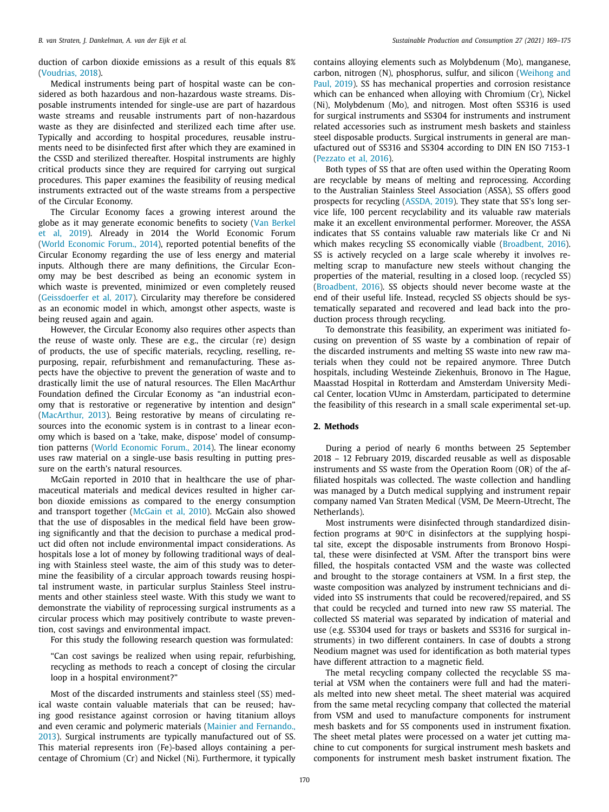duction of carbon dioxide emissions as a result of this equals 8% [\(Voudrias,](#page-7-0) 2018).

Medical instruments being part of hospital waste can be considered as both hazardous and non-hazardous waste streams. Disposable instruments intended for single-use are part of hazardous waste streams and reusable instruments part of non-hazardous waste as they are disinfected and sterilized each time after use. Typically and according to hospital procedures, reusable instruments need to be disinfected first after which they are examined in the CSSD and sterilized thereafter. Hospital instruments are highly critical products since they are required for carrying out surgical procedures. This paper examines the feasibility of reusing medical instruments extracted out of the waste streams from a perspective of the Circular Economy.

The Circular Economy faces a growing interest around the globe as it may generate economic benefits to society (Van Berkel et al, 2019). Already in 2014 the World [Economic](#page-7-0) Forum (World [Economic](#page-7-0) Forum., 2014), reported potential benefits of the Circular Economy regarding the use of less energy and material inputs. Although there are many definitions, the Circular Economy may be best described as being an economic system in which waste is prevented, minimized or even completely reused [\(Geissdoerfer](#page-6-0) et al, 2017). Circularity may therefore be considered as an economic model in which, amongst other aspects, waste is being reused again and again.

However, the Circular Economy also requires other aspects than the reuse of waste only. These are e.g., the circular (re) design of products, the use of specific materials, recycling, reselling, repurposing, repair, refurbishment and remanufacturing. These aspects have the objective to prevent the generation of waste and to drastically limit the use of natural resources. The Ellen MacArthur Foundation defined the Circular Economy as "an industrial economy that is restorative or regenerative by intention and design" [\(MacArthur,](#page-6-0) 2013). Being restorative by means of circulating resources into the economic system is in contrast to a linear economy which is based on a 'take, make, dispose' model of consumption patterns (World [Economic](#page-7-0) Forum., 2014). The linear economy uses raw material on a single-use basis resulting in putting pressure on the earth's natural resources.

McGain reported in 2010 that in healthcare the use of pharmaceutical materials and medical devices resulted in higher carbon dioxide emissions as compared to the energy consumption and transport together [\(McGain](#page-6-0) et al, 2010). McGain also showed that the use of disposables in the medical field have been growing significantly and that the decision to purchase a medical product did often not include environmental impact considerations. As hospitals lose a lot of money by following traditional ways of dealing with Stainless steel waste, the aim of this study was to determine the feasibility of a circular approach towards reusing hospital instrument waste, in particular surplus Stainless Steel instruments and other stainless steel waste. With this study we want to demonstrate the viability of reprocessing surgical instruments as a circular process which may positively contribute to waste prevention, cost savings and environmental impact.

For this study the following research question was formulated:

"Can cost savings be realized when using repair, refurbishing, recycling as methods to reach a concept of closing the circular loop in a hospital environment?"

Most of the discarded instruments and stainless steel (SS) medical waste contain valuable materials that can be reused; having good resistance against corrosion or having titanium alloys and even ceramic and polymeric materials (Mainier and Fernando., 2013). Surgical instruments are typically [manufactured](#page-6-0) out of SS. This material represents iron (Fe)-based alloys containing a percentage of Chromium (Cr) and Nickel (Ni). Furthermore, it typically contains alloying elements such as Molybdenum (Mo), manganese, carbon, nitrogen (N), [phosphorus,](#page-7-0) sulfur, and silicon (Weihong and Paul, 2019). SS has mechanical properties and corrosion resistance which can be enhanced when alloying with Chromium (Cr), Nickel (Ni), Molybdenum (Mo), and nitrogen. Most often SS316 is used for surgical instruments and SS304 for instruments and instrument related accessories such as instrument mesh baskets and stainless steel disposable products. Surgical instruments in general are manufactured out of SS316 and SS304 according to DIN EN ISO 7153-1 [\(Pezzato](#page-6-0) et al, 2016).

Both types of SS that are often used within the Operating Room are recyclable by means of melting and reprocessing. According to the Australian Stainless Steel Association (ASSA), SS offers good prospects for recycling [\(ASSDA,](#page-6-0) 2019). They state that SS's long service life, 100 percent recyclability and its valuable raw materials make it an excellent environmental performer. Moreover, the ASSA indicates that SS contains valuable raw materials like Cr and Ni which makes recycling SS economically viable [\(Broadbent,](#page-6-0) 2016). SS is actively recycled on a large scale whereby it involves remelting scrap to manufacture new steels without changing the properties of the material, resulting in a closed loop. (recycled SS) [\(Broadbent,](#page-6-0) 2016). SS objects should never become waste at the end of their useful life. Instead, recycled SS objects should be systematically separated and recovered and lead back into the production process through recycling.

To demonstrate this feasibility, an experiment was initiated focusing on prevention of SS waste by a combination of repair of the discarded instruments and melting SS waste into new raw materials when they could not be repaired anymore. Three Dutch hospitals, including Westeinde Ziekenhuis, Bronovo in The Hague, Maasstad Hospital in Rotterdam and Amsterdam University Medical Center, location VUmc in Amsterdam, participated to determine the feasibility of this research in a small scale experimental set-up.

#### **2. Methods**

During a period of nearly 6 months between 25 September 2018 – 12 February 2019, discarded reusable as well as disposable instruments and SS waste from the Operation Room (OR) of the affiliated hospitals was collected. The waste collection and handling was managed by a Dutch medical supplying and instrument repair company named Van Straten Medical (VSM, De Meern-Utrecht, The Netherlands).

Most instruments were disinfected through standardized disinfection programs at 90°C in disinfectors at the supplying hospital site, except the disposable instruments from Bronovo Hospital, these were disinfected at VSM. After the transport bins were filled, the hospitals contacted VSM and the waste was collected and brought to the storage containers at VSM. In a first step, the waste composition was analyzed by instrument technicians and divided into SS instruments that could be recovered/repaired, and SS that could be recycled and turned into new raw SS material. The collected SS material was separated by indication of material and use (e.g. SS304 used for trays or baskets and SS316 for surgical instruments) in two different containers. In case of doubts a strong Neodium magnet was used for identification as both material types have different attraction to a magnetic field.

The metal recycling company collected the recyclable SS material at VSM when the containers were full and had the materials melted into new sheet metal. The sheet material was acquired from the same metal recycling company that collected the material from VSM and used to manufacture components for instrument mesh baskets and for SS components used in instrument fixation. The sheet metal plates were processed on a water jet cutting machine to cut components for surgical instrument mesh baskets and components for instrument mesh basket instrument fixation. The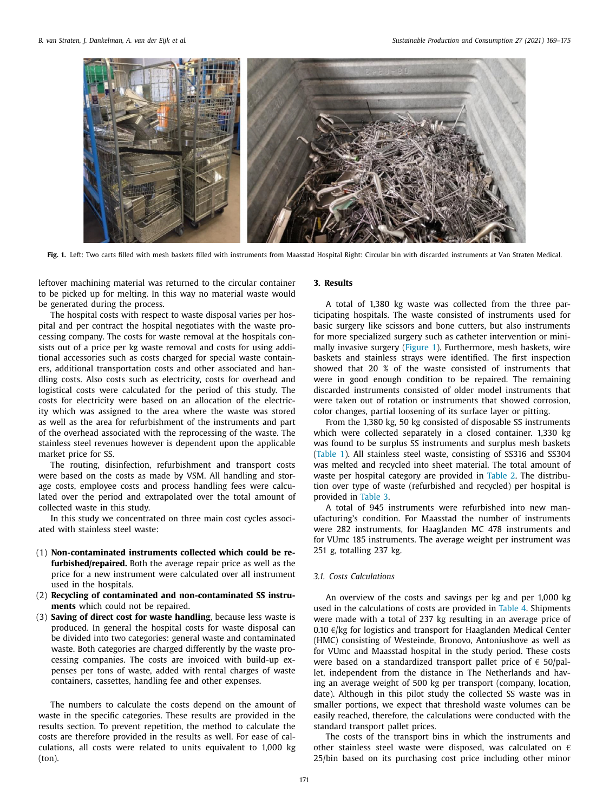

**Fig. 1.** Left: Two carts filled with mesh baskets filled with instruments from Maasstad Hospital Right: Circular bin with discarded instruments at Van Straten Medical.

leftover machining material was returned to the circular container to be picked up for melting. In this way no material waste would be generated during the process.

The hospital costs with respect to waste disposal varies per hospital and per contract the hospital negotiates with the waste processing company. The costs for waste removal at the hospitals consists out of a price per kg waste removal and costs for using additional accessories such as costs charged for special waste containers, additional transportation costs and other associated and handling costs. Also costs such as electricity, costs for overhead and logistical costs were calculated for the period of this study. The costs for electricity were based on an allocation of the electricity which was assigned to the area where the waste was stored as well as the area for refurbishment of the instruments and part of the overhead associated with the reprocessing of the waste. The stainless steel revenues however is dependent upon the applicable market price for SS.

The routing, disinfection, refurbishment and transport costs were based on the costs as made by VSM. All handling and storage costs, employee costs and process handling fees were calculated over the period and extrapolated over the total amount of collected waste in this study.

In this study we concentrated on three main cost cycles associated with stainless steel waste:

- (1) **Non-contaminated instruments collected which could be refurbished/repaired.** Both the average repair price as well as the price for a new instrument were calculated over all instrument used in the hospitals.
- (2) **Recycling of contaminated and non-contaminated SS instruments** which could not be repaired.
- (3) **Saving of direct cost for waste handling**, because less waste is produced. In general the hospital costs for waste disposal can be divided into two categories: general waste and contaminated waste. Both categories are charged differently by the waste processing companies. The costs are invoiced with build-up expenses per tons of waste, added with rental charges of waste containers, cassettes, handling fee and other expenses.

The numbers to calculate the costs depend on the amount of waste in the specific categories. These results are provided in the results section. To prevent repetition, the method to calculate the costs are therefore provided in the results as well. For ease of calculations, all costs were related to units equivalent to 1,000 kg (ton).

#### **3. Results**

A total of 1,380 kg waste was collected from the three participating hospitals. The waste consisted of instruments used for basic surgery like scissors and bone cutters, but also instruments for more specialized surgery such as catheter intervention or minimally invasive surgery (Figure 1). Furthermore, mesh baskets, wire baskets and stainless strays were identified. The first inspection showed that 20 % of the waste consisted of instruments that were in good enough condition to be repaired. The remaining discarded instruments consisted of older model instruments that were taken out of rotation or instruments that showed corrosion, color changes, partial loosening of its surface layer or pitting.

From the 1,380 kg, 50 kg consisted of disposable SS instruments which were collected separately in a closed container. 1,330 kg was found to be surplus SS instruments and surplus mesh baskets [\(Table](#page-4-0) 1). All stainless steel waste, consisting of SS316 and SS304 was melted and recycled into sheet material. The total amount of waste per hospital category are provided in [Table](#page-4-0) 2. The distribution over type of waste (refurbished and recycled) per hospital is provided in [Table](#page-4-0) 3.

A total of 945 instruments were refurbished into new manufacturing's condition. For Maasstad the number of instruments were 282 instruments, for Haaglanden MC 478 instruments and for VUmc 185 instruments. The average weight per instrument was 251 g, totalling 237 kg.

#### *3.1. Costs Calculations*

An overview of the costs and savings per kg and per 1,000 kg used in the calculations of costs are provided in [Table](#page-4-0) 4. Shipments were made with a total of 237 kg resulting in an average price of 0.10  $\epsilon$ /kg for logistics and transport for Haaglanden Medical Center (HMC) consisting of Westeinde, Bronovo, Antoniushove as well as for VUmc and Maasstad hospital in the study period. These costs were based on a standardized transport pallet price of  $\epsilon$  50/pallet, independent from the distance in The Netherlands and having an average weight of 500 kg per transport (company, location, date). Although in this pilot study the collected SS waste was in smaller portions, we expect that threshold waste volumes can be easily reached, therefore, the calculations were conducted with the standard transport pallet prices.

The costs of the transport bins in which the instruments and other stainless steel waste were disposed, was calculated on  $\epsilon$ 25/bin based on its purchasing cost price including other minor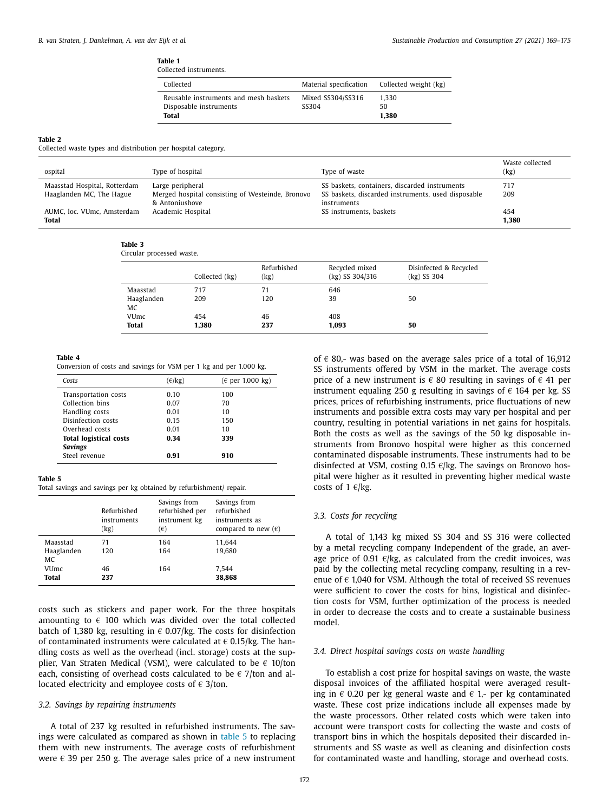#### **Table 1**

| Collected instruments.                                                   |                            |                                              |
|--------------------------------------------------------------------------|----------------------------|----------------------------------------------|
| Collected                                                                |                            | Material specification Collected weight (kg) |
| Reusable instruments and mesh baskets<br>Disposable instruments<br>Total | Mixed SS304/SS316<br>SS304 | 1.330<br>50<br>1.380                         |

#### <span id="page-4-0"></span>**Table 2**

Collected waste types and distribution per hospital category.

| ospital                                    | Type of hospital                                                   | Type of waste                                                     | Waste collected<br>(kg) |
|--------------------------------------------|--------------------------------------------------------------------|-------------------------------------------------------------------|-------------------------|
| Maasstad Hospital, Rotterdam               | Large peripheral                                                   | SS baskets, containers, discarded instruments                     | 717                     |
| Haaglanden MC, The Hague                   | Merged hospital consisting of Westeinde, Bronovo<br>& Antoniushove | SS baskets, discarded instruments, used disposable<br>instruments | 209                     |
| AUMC, loc. VUmc, Amsterdam<br><b>Total</b> | Academic Hospital                                                  | SS instruments, baskets                                           | 454<br>1,380            |

#### **Table 3**

|                  | Collected (kg) | Refurbished<br>(kg) | Recycled mixed<br>$(kg)$ SS 304/316 | Disinfected & Recycled<br>$(kg)$ SS 304 |
|------------------|----------------|---------------------|-------------------------------------|-----------------------------------------|
| Maasstad         | 717            | 71                  | 646                                 |                                         |
| Haaglanden<br>MC | 209            | 120                 | 39                                  | 50                                      |
| VUmc             | 454            | 46                  | 408                                 |                                         |
| <b>Total</b>     | 1,380          | 237                 | 1,093                               | 50                                      |

#### **Table 4**

Circular processed waste.

| $(\epsilon/\text{kg})$ | $(\epsilon$ per 1,000 kg) |
|------------------------|---------------------------|
| 0.10                   | 100                       |
| 0.07                   | 70                        |
| 0.01                   | 10                        |
| 0.15                   | 150                       |
| 0.01                   | 10                        |
| 0.34                   | 339                       |
|                        |                           |
| 0.91                   | 910                       |
|                        |                           |

#### **Table 5**

Total savings and savings per kg obtained by refurbishment/ repair.

|                                               | Refurbished<br>instruments<br>(kg) | Savings from<br>refurbished per<br>instrument kg<br>$(\epsilon)$ | Savings from<br>refurbished<br>instruments as<br>compared to new $(\epsilon)$ |
|-----------------------------------------------|------------------------------------|------------------------------------------------------------------|-------------------------------------------------------------------------------|
| Maasstad<br>Haaglanden<br>MC<br>VUmc<br>Total | 71<br>120<br>46<br>237             | 164<br>164<br>164                                                | 11.644<br>19.680<br>7.544<br>38,868                                           |

costs such as stickers and paper work. For the three hospitals amounting to  $\epsilon$  100 which was divided over the total collected batch of 1,380 kg, resulting in  $\epsilon$  0.07/kg. The costs for disinfection of contaminated instruments were calculated at  $\epsilon$  0.15/kg. The handling costs as well as the overhead (incl. storage) costs at the supplier, Van Straten Medical (VSM), were calculated to be  $\epsilon$  10/ton each, consisting of overhead costs calculated to be  $\epsilon$  7/ton and allocated electricity and employee costs of  $\epsilon$  3/ton.

#### *3.2. Savings by repairing instruments*

A total of 237 kg resulted in refurbished instruments. The savings were calculated as compared as shown in table 5 to replacing them with new instruments. The average costs of refurbishment were  $\epsilon$  39 per 250 g. The average sales price of a new instrument

172

of  $\epsilon$  80,- was based on the average sales price of a total of 16,912 SS instruments offered by VSM in the market. The average costs price of a new instrument is  $\epsilon$  80 resulting in savings of  $\epsilon$  41 per instrument equaling 250 g resulting in savings of  $\epsilon$  164 per kg. SS prices, prices of refurbishing instruments, price fluctuations of new instruments and possible extra costs may vary per hospital and per country, resulting in potential variations in net gains for hospitals. Both the costs as well as the savings of the 50 kg disposable instruments from Bronovo hospital were higher as this concerned contaminated disposable instruments. These instruments had to be disinfected at VSM, costing 0.15  $\epsilon$ /kg. The savings on Bronovo hospital were higher as it resulted in preventing higher medical waste costs of 1  $\varepsilon$ /kg.

#### *3.3. Costs for recycling*

A total of 1,143 kg mixed SS 304 and SS 316 were collected by a metal recycling company Independent of the grade, an average price of 0.91  $\varepsilon$ /kg, as calculated from the credit invoices, was paid by the collecting metal recycling company, resulting in a revenue of  $\epsilon$  1,040 for VSM. Although the total of received SS revenues were sufficient to cover the costs for bins, logistical and disinfection costs for VSM, further optimization of the process is needed in order to decrease the costs and to create a sustainable business model.

#### *3.4. Direct hospital savings costs on waste handling*

To establish a cost prize for hospital savings on waste, the waste disposal invoices of the affiliated hospital were averaged resulting in  $\epsilon$  0.20 per kg general waste and  $\epsilon$  1,- per kg contaminated waste. These cost prize indications include all expenses made by the waste processors. Other related costs which were taken into account were transport costs for collecting the waste and costs of transport bins in which the hospitals deposited their discarded instruments and SS waste as well as cleaning and disinfection costs for contaminated waste and handling, storage and overhead costs.

Conversion of costs and savings for VSM per 1 kg and per 1.000 kg.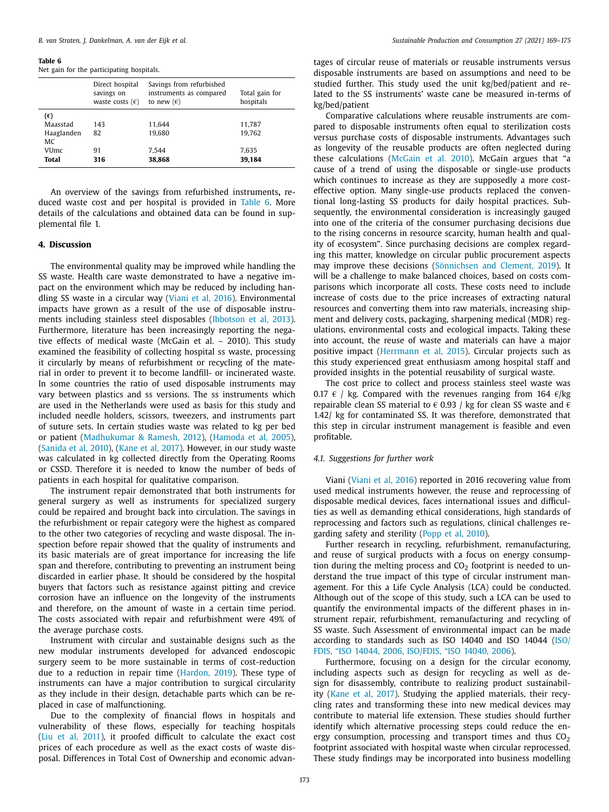#### **Table 6**

Net gain for the participating hospitals.

|              | Direct hospital<br>savings on<br>waste costs $(\epsilon)$ | Savings from refurbished<br>instruments as compared<br>to new $(\epsilon)$ | Total gain for<br>hospitals |
|--------------|-----------------------------------------------------------|----------------------------------------------------------------------------|-----------------------------|
| $(\epsilon)$ |                                                           |                                                                            |                             |
| Maasstad     | 143                                                       | 11.644                                                                     | 11,787                      |
| Haaglanden   | 82                                                        | 19.680                                                                     | 19.762                      |
| <b>MC</b>    |                                                           |                                                                            |                             |
| VUmc         | 91                                                        | 7.544                                                                      | 7.635                       |
| Total        | 316                                                       | 38,868                                                                     | 39,184                      |
|              |                                                           |                                                                            |                             |

An overview of the savings from refurbished instruments**,** reduced waste cost and per hospital is provided in Table 6. More details of the calculations and obtained data can be found in supplemental file 1.

#### **4. Discussion**

The environmental quality may be improved while handling the SS waste. Health care waste demonstrated to have a negative impact on the environment which may be reduced by including handling SS waste in a circular way [\(Viani](#page-7-0) et al, 2016). Environmental impacts have grown as a result of the use of disposable instruments including stainless steel disposables [\(Ibbotson](#page-6-0) et al, 2013). Furthermore, literature has been increasingly reporting the negative effects of medical waste (McGain et al. – 2010). This study examined the feasibility of collecting hospital ss waste, processing it circularly by means of refurbishment or recycling of the material in order to prevent it to become landfill- or incinerated waste. In some countries the ratio of used disposable instruments may vary between plastics and ss versions. The ss instruments which are used in the Netherlands were used as basis for this study and included needle holders, scissors, tweezers, and instruments part of suture sets. In certain studies waste was related to kg per bed or patient [\(Madhukumar](#page-6-0) & Ramesh, 2012), [\(Hamoda](#page-6-0) et al, 2005), [\(Sanida](#page-6-0) et al, 2010), [\(Kane](#page-6-0) et al, 2017). However, in our study waste was calculated in kg collected directly from the Operating Rooms or CSSD. Therefore it is needed to know the number of beds of patients in each hospital for qualitative comparison.

The instrument repair demonstrated that both instruments for general surgery as well as instruments for specialized surgery could be repaired and brought back into circulation. The savings in the refurbishment or repair category were the highest as compared to the other two categories of recycling and waste disposal. The inspection before repair showed that the quality of instruments and its basic materials are of great importance for increasing the life span and therefore, contributing to preventing an instrument being discarded in earlier phase. It should be considered by the hospital buyers that factors such as resistance against pitting and crevice corrosion have an influence on the longevity of the instruments and therefore, on the amount of waste in a certain time period. The costs associated with repair and refurbishment were 49% of the average purchase costs.

Instrument with circular and sustainable designs such as the new modular instruments developed for advanced endoscopic surgery seem to be more sustainable in terms of cost-reduction due to a reduction in repair time [\(Hardon,](#page-6-0) 2019). These type of instruments can have a major contribution to surgical circularity as they include in their design, detachable parts which can be replaced in case of malfunctioning.

Due to the complexity of financial flows in hospitals and vulnerability of these flows, especially for teaching hospitals (Liu et al, [2011\)](#page-6-0), it proofed difficult to calculate the exact cost prices of each procedure as well as the exact costs of waste disposal. Differences in Total Cost of Ownership and economic advantages of circular reuse of materials or reusable instruments versus disposable instruments are based on assumptions and need to be studied further. This study used the unit kg/bed/patient and related to the SS instruments' waste cane be measured in-terms of kg/bed/patient

Comparative calculations where reusable instruments are compared to disposable instruments often equal to sterilization costs versus purchase costs of disposable instruments. Advantages such as longevity of the reusable products are often neglected during these calculations [\(McGain](#page-6-0) et al. 2010). McGain argues that "a cause of a trend of using the disposable or single-use products which continues to increase as they are supposedly a more costeffective option. Many single-use products replaced the conventional long-lasting SS products for daily hospital practices. Subsequently, the environmental consideration is increasingly gauged into one of the criteria of the consumer purchasing decisions due to the rising concerns in resource scarcity, human health and quality of ecosystem". Since purchasing decisions are complex regarding this matter, knowledge on circular public procurement aspects may improve these decisions [\(Sönnichsen](#page-7-0) and Clement, 2019). It will be a challenge to make balanced choices, based on costs comparisons which incorporate all costs. These costs need to include increase of costs due to the price increases of extracting natural resources and converting them into raw materials, increasing shipment and delivery costs, packaging, sharpening medical (MDR) regulations, environmental costs and ecological impacts. Taking these into account, the reuse of waste and materials can have a major positive impact [\(Herrmann](#page-6-0) et al, 2015). Circular projects such as this study experienced great enthusiasm among hospital staff and provided insights in the potential reusability of surgical waste.

The cost price to collect and process stainless steel waste was 0.17  $\epsilon$  / kg. Compared with the revenues ranging from 164  $\epsilon$ /kg repairable clean SS material to  $\epsilon$  0.93 / kg for clean SS waste and  $\epsilon$ 1.42/ kg for contaminated SS. It was therefore, demonstrated that this step in circular instrument management is feasible and even profitable.

#### *4.1. Suggestions for further work*

Viani [\(Viani](#page-7-0) et al, 2016) reported in 2016 recovering value from used medical instruments however, the reuse and reprocessing of disposable medical devices, faces international issues and difficulties as well as demanding ethical considerations, high standards of reprocessing and factors such as regulations, clinical challenges regarding safety and sterility [\(Popp](#page-6-0) et al, 2010).

Further research in recycling, refurbishment, remanufacturing, and reuse of surgical products with a focus on energy consumption during the melting process and  $CO<sub>2</sub>$  footprint is needed to understand the true impact of this type of circular instrument management. For this a Life Cycle Analysis (LCA) could be conducted. Although out of the scope of this study, such a LCA can be used to quantify the environmental impacts of the different phases in instrument repair, refurbishment, remanufacturing and recycling of SS waste. Such Assessment of environmental impact can be made [according](#page-6-0) to standards such as ISO 14040 and ISO 14044 (ISO/ FDIS, "ISO 14044, 2006, ISO/FDIS, "ISO 14040, 2006).

Furthermore, focusing on a design for the circular economy, including aspects such as design for recycling as well as design for disassembly, contribute to realizing product sustainability [\(Kane](#page-6-0) et al, 2017). Studying the applied materials, their recycling rates and transforming these into new medical devices may contribute to material life extension. These studies should further identify which alternative processing steps could reduce the energy consumption, processing and transport times and thus  $CO<sub>2</sub>$ footprint associated with hospital waste when circular reprocessed. These study findings may be incorporated into business modelling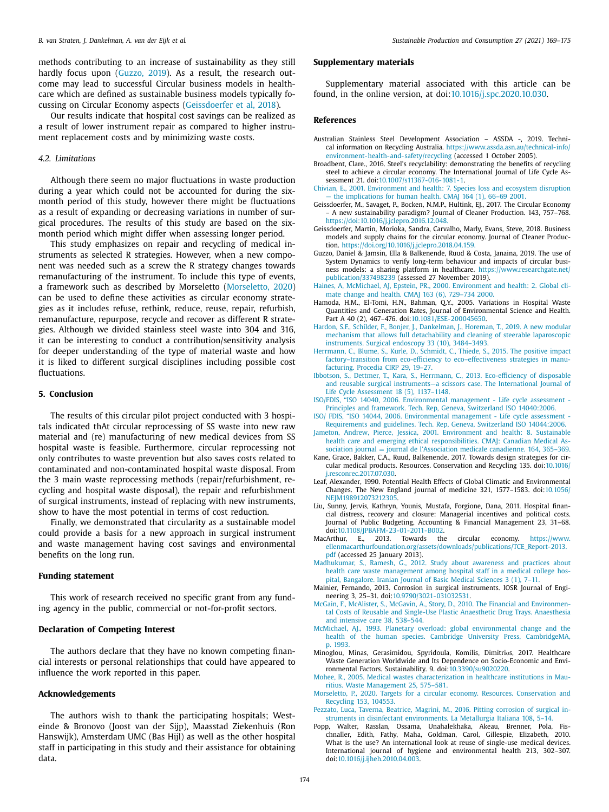<span id="page-6-0"></span>methods contributing to an increase of sustainability as they still hardly focus upon (Guzzo, 2019). As a result, the research outcome may lead to successful Circular business models in healthcare which are defined as sustainable business models typically focussing on Circular Economy aspects (Geissdoerfer et al, 2018).

Our results indicate that hospital cost savings can be realized as a result of lower instrument repair as compared to higher instrument replacement costs and by minimizing waste costs.

#### *4.2. Limitations*

Although there seem no major fluctuations in waste production during a year which could not be accounted for during the sixmonth period of this study, however there might be fluctuations as a result of expanding or decreasing variations in number of surgical procedures. The results of this study are based on the sixmonth period which might differ when assessing longer period.

This study emphasizes on repair and recycling of medical instruments as selected R strategies. However, when a new component was needed such as a screw the R strategy changes towards remanufacturing of the instrument. To include this type of events, a framework such as described by Morseletto (Morseletto, 2020) can be used to define these activities as circular economy strategies as it includes refuse, rethink, reduce, reuse, repair, refurbish, remanufacture, repurpose, recycle and recover as different R strategies. Although we divided stainless steel waste into 304 and 316, it can be interesting to conduct a contribution/sensitivity analysis for deeper understanding of the type of material waste and how it is liked to different surgical disciplines including possible cost fluctuations.

#### **5. Conclusion**

The results of this circular pilot project conducted with 3 hospitals indicated thAt circular reprocessing of SS waste into new raw material and (re) manufacturing of new medical devices from SS hospital waste is feasible. Furthermore, circular reprocessing not only contributes to waste prevention but also saves costs related to contaminated and non-contaminated hospital waste disposal. From the 3 main waste reprocessing methods (repair/refurbishment, recycling and hospital waste disposal), the repair and refurbishment of surgical instruments, instead of replacing with new instruments, show to have the most potential in terms of cost reduction.

Finally, we demonstrated that circularity as a sustainable model could provide a basis for a new approach in surgical instrument and waste management having cost savings and environmental benefits on the long run.

#### **Funding statement**

This work of research received no specific grant from any funding agency in the public, commercial or not-for-profit sectors.

#### **Declaration of Competing Interest**

The authors declare that they have no known competing financial interests or personal relationships that could have appeared to influence the work reported in this paper.

#### **Acknowledgements**

The authors wish to thank the participating hospitals; Westeinde & Bronovo (Joost van der Sijp), Maasstad Ziekenhuis (Ron Hanswijk), Amsterdam UMC (Bas Hijl) as well as the other hospital staff in participating in this study and their assistance for obtaining data.

#### **Supplementary materials**

Supplementary material associated with this article can be found, in the online version, at doi[:10.1016/j.spc.2020.10.030.](https://doi.org/10.1016/j.spc.2020.10.030)

#### **References**

- Australian Stainless Steel Development Association ASSDA -, 2019. Technical information on Recycling Australia. https://www.assda.asn.au/technical- info/ [environment-health-and-safety/recycling](https://www.assda.asn.au/technical-info/environment-health-and-safety/recycling) (accessed 1 October 2005).
- Broadbent, Clare., 2016. Steel's recyclability: demonstrating the benefits of recycling steel to achieve a circular economy. The International Journal of Life Cycle Assessment 21. doi[:10.1007/s11367-016-1081-1.](https://doi.org/10.1007/s11367-016-1081-1)
- [Chivian,](http://refhub.elsevier.com/S2352-5509(20)31370-1/sbref0003) E., 2001. [Environment](http://refhub.elsevier.com/S2352-5509(20)31370-1/sbref0003) and health: 7. Species loss and ecosystem disruption — the implications for human health. CMAJ 164 (1), 66–69 2001.
- Geissdoerfer, M., Savaget, P., Bocken, N.M.P., Hultink, EJ., 2017. The Circular Economy – A new sustainability paradigm? Journal of Cleaner Production. 143, 757–768. [https://doi:10.1016/j.jclepro.2016.12.048.](https://doi:10.1016/j.jclepro.2016.12.048)
- Geissdoerfer, Martin, Morioka, Sandra, Carvalho, Marly, Evans, Steve, 2018. Business models and supply chains for the circular economy. Journal of Cleaner Production. [https://doi.org/10.1016/j.jclepro.2018.04.159.](https://doi.org/10.1016/j.jclepro.2018.04.159)
- Guzzo, Daniel & Jamsin, Ella & Balkenende, Ruud & Costa, Janaina, 2019. The use of System Dynamics to verify long-term behaviour and impacts of circular business models: a sharing platform in healthcare. https://www.researchgate.net/ publication/337498239 [\(assessed 27 November 2019\).](https://www.researchgate.net/publication/337498239)
- [Haines,](http://refhub.elsevier.com/S2352-5509(20)31370-1/sbref0007) A, [McMichael,](http://refhub.elsevier.com/S2352-5509(20)31370-1/sbref0007) AJ, [Epstein,](http://refhub.elsevier.com/S2352-5509(20)31370-1/sbref0007) PR., 2000. [Environment](http://refhub.elsevier.com/S2352-5509(20)31370-1/sbref0007) and health: 2. Global climate change and health. CMAJ 163 (6), 729–734 2000.
- Hamoda, H.M., El-Tomi, H.N., Bahman, Q.Y., 2005. Variations in Hospital Waste Quantities and Generation Rates, Journal of Environmental Science and Health. Part A 40 (2), 467–476. doi[:10.1081/ESE-200045650.](https://doi.org/10.1081/ESE-200045650)
- [Hardon,](http://refhub.elsevier.com/S2352-5509(20)31370-1/sbref0009) S.F., [Schilder,](http://refhub.elsevier.com/S2352-5509(20)31370-1/sbref0009) F., [Bonjer,](http://refhub.elsevier.com/S2352-5509(20)31370-1/sbref0009) J., [Dankelman,](http://refhub.elsevier.com/S2352-5509(20)31370-1/sbref0009) J., [Horeman,](http://refhub.elsevier.com/S2352-5509(20)31370-1/sbref0009) T., 2019. A new modular mechanism that allows full [detachability](http://refhub.elsevier.com/S2352-5509(20)31370-1/sbref0009) and cleaning of steerable laparoscopic instruments. Surgical endoscopy 33 (10), 3484–3493.
- [Herrmann,](http://refhub.elsevier.com/S2352-5509(20)31370-1/sbref0010) C., [Blume,](http://refhub.elsevier.com/S2352-5509(20)31370-1/sbref0010) S., [Kurle,](http://refhub.elsevier.com/S2352-5509(20)31370-1/sbref0010) D., [Schmidt,](http://refhub.elsevier.com/S2352-5509(20)31370-1/sbref0010) C., [Thiede,](http://refhub.elsevier.com/S2352-5509(20)31370-1/sbref0010) S., 2015. The positive impact [factory–transition](http://refhub.elsevier.com/S2352-5509(20)31370-1/sbref0010) from eco-efficiency to eco–effectiveness strategies in manufacturing. Procedia CIRP 29, 19–27.
- [Ibbotson,](http://refhub.elsevier.com/S2352-5509(20)31370-1/sbref0011) S., [Dettmer,](http://refhub.elsevier.com/S2352-5509(20)31370-1/sbref0011) T., [Kara,](http://refhub.elsevier.com/S2352-5509(20)31370-1/sbref0011) S., [Herrmann,](http://refhub.elsevier.com/S2352-5509(20)31370-1/sbref0011) C., 2013. Eco-efficiency of disposable and reusable surgical [instruments—a](http://refhub.elsevier.com/S2352-5509(20)31370-1/sbref0011) scissors case. The International Journal of Life Cycle Assessment 18 (5), 1137–1148.
- ISO/FDIS, "ISO 14040, 2006. [Environmental](http://refhub.elsevier.com/S2352-5509(20)31370-1/sbref0012) management Life cycle assessment Principles and framework. Tech. Rep, Geneva, Switzerland ISO 14040:2006.
- ISO/ FDIS, "ISO 14044, 2006. [Environmental](http://refhub.elsevier.com/S2352-5509(20)31370-1/sbref0013) management Life cycle assessment Requirements and guidelines. Tech. Rep, Geneva, Switzerland ISO 14044:2006.
- [Jameton,](http://refhub.elsevier.com/S2352-5509(20)31370-1/sbref0014) Andrew, Pierce, [Jessica,](http://refhub.elsevier.com/S2352-5509(20)31370-1/sbref0014) 2001. Environment and health: 8. Sustainable health care and emerging ethical [responsibilities.](http://refhub.elsevier.com/S2352-5509(20)31370-1/sbref0014) CMAJ: Canadian Medical Association journal = journal de l'Association medicale canadienne. 164, 365-369.
- Kane, Grace, Bakker, C.A., Ruud, Balkenende, 2017. Towards design strategies for circular medical products. Resources. Conservation and Recycling 135. doi:10.1016/ [j.resconrec.2017.07.030.](https://doi.org/10.1016/j.resconrec.2017.07.030)
- Leaf, Alexander, 1990. Potential Health Effects of Global Climatic and Environmental Changes. The New England journal of medicine 321, 1577–1583. doi:10.1056/ NEIM198912073212305
- Liu, Sunny, Jervis, Kathryn, Younis, Mustafa, Forgione, Dana, 2011. Hospital financial distress, recovery and closure: Managerial incentives and political costs. Journal of Public Budgeting, Accounting & Financial Management 23, 31–68. doi[:10.1108/JPBAFM-23-01-2011-B002.](https://doi.org/10.1108/JPBAFM-23-01-2011-B002)
- MacArthur, E., 2013. Towards the circular economy. https://www. [ellenmacarthurfoundation.org/assets/downloads/publications/TCE\\_Report-2013.](https://www.ellenmacarthurfoundation.org/assets/downloads/publications/TCE_Report-2013.pdf) pdf (accessed 25 January 2013).
- [Madhukumar,](http://refhub.elsevier.com/S2352-5509(20)31370-1/sbref0019) S., [Ramesh,](http://refhub.elsevier.com/S2352-5509(20)31370-1/sbref0019) G., 2012. Study about awareness and practices about health care waste [management](http://refhub.elsevier.com/S2352-5509(20)31370-1/sbref0019) among hospital staff in a medical college hospital, Bangalore. Iranian Journal of Basic Medical Sciences 3 (1), 7–11.
- Mainier, Fernando, 2013. Corrosion in surgical instruments. IOSR Journal of Engineering 3, 25–31. doi[:10.9790/3021-031032531.](https://doi.org/10.9790/3021-031032531)
- [McGain,](http://refhub.elsevier.com/S2352-5509(20)31370-1/sbref0021) F., [McAlister,](http://refhub.elsevier.com/S2352-5509(20)31370-1/sbref0021) S., [McGavin,](http://refhub.elsevier.com/S2352-5509(20)31370-1/sbref0021) A., [Story,](http://refhub.elsevier.com/S2352-5509(20)31370-1/sbref0021) D., 2010. The Financial and [Environmen](http://refhub.elsevier.com/S2352-5509(20)31370-1/sbref0021)tal Costs of Reusable and Single-Use Plastic Anaesthetic Drug Trays. Anaesthesia and intensive care 38, 538–544.
- [McMichael,](http://refhub.elsevier.com/S2352-5509(20)31370-1/sbref0022) AJ., 1993. Planetary overload: global environmental change and the health of the human species. Cambridge University Press, [CambridgeMA,](http://refhub.elsevier.com/S2352-5509(20)31370-1/sbref0022) p. 1993.
- Minoglou, Minas, Gerasimidou, Spyridoula, Komilis, Dimitriοs, 2017. Healthcare Waste Generation Worldwide and Its Dependence on Socio-Economic and Envi-ronmental Factors. Sustainability. 9. doi[:10.3390/su9020220.](https://doi.org/10.3390/su9020220)
- [Mohee,](http://refhub.elsevier.com/S2352-5509(20)31370-1/sbref0024) R., 2005. Medical wastes [characterization](http://refhub.elsevier.com/S2352-5509(20)31370-1/sbref0024) in healthcare institutions in Mauritius. Waste Management 25, 575–581.
- [Morseletto,](http://refhub.elsevier.com/S2352-5509(20)31370-1/sbref0025) P., 2020. Targets for a circular economy. Resources. [Conservation](http://refhub.elsevier.com/S2352-5509(20)31370-1/sbref0025) and Recycling 153, 104553.
- [Pezzato,](http://refhub.elsevier.com/S2352-5509(20)31370-1/sbref0026) Luca, Taverna, [Beatrice,](http://refhub.elsevier.com/S2352-5509(20)31370-1/sbref0026) [Magrini,](http://refhub.elsevier.com/S2352-5509(20)31370-1/sbref0026) M., 2016. Pitting corrosion of surgical instruments in disinfectant [environments.](http://refhub.elsevier.com/S2352-5509(20)31370-1/sbref0026) La Metallurgia Italiana 108, 5–14.
- Popp, Walter, Rasslan, Ossama, Unahalekhaka, Akeau, Brenner, Pola, Fischnaller, Edith, Fathy, Maha, Goldman, Carol, Gillespie, Elizabeth, 2010. What is the use? An international look at reuse of single-use medical devices. International journal of hygiene and environmental health 213, 302–307. doi[:10.1016/j.ijheh.2010.04.003.](https://doi.org/10.1016/j.ijheh.2010.04.003)